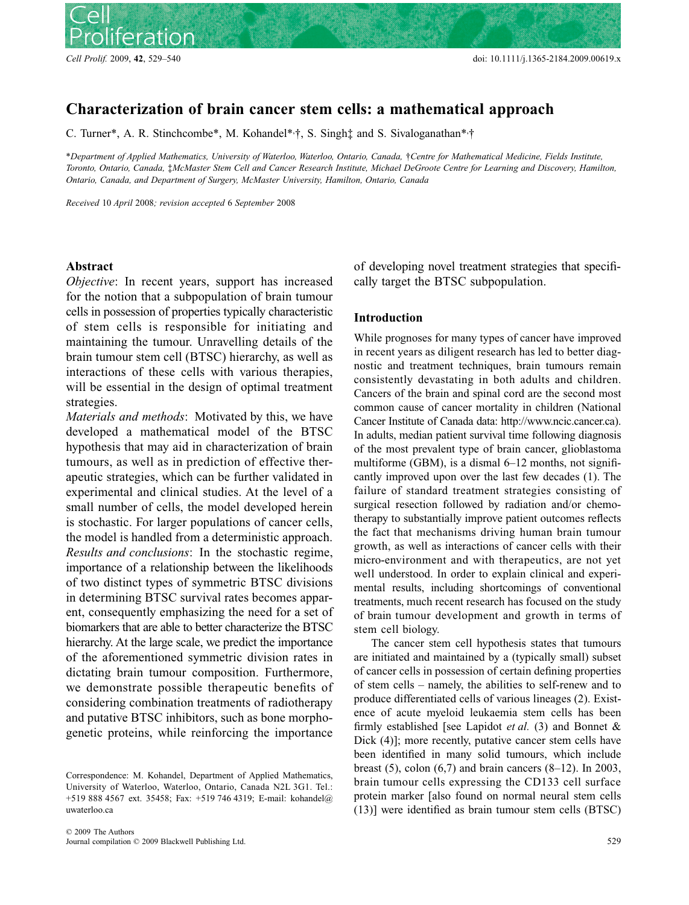

# Blackwell Publishing Ltd **ORIGINAL ARTICLE** *Characterizing brain tumour stem cells* **Characterization of brain cancer stem cells: a mathematical approach**

C. Turner\*, A. R. Stinchcombe\*, M. Kohandel\* $\dagger$ ; S. Singh $\dagger$  and S. Sivaloganathan\* $\dagger$ 

\**Department of Applied Mathematics, University of Waterloo, Waterloo, Ontario, Canada,* †*Centre for Mathematical Medicine, Fields Institute, Toronto, Ontario, Canada,* ‡*McMaster Stem Cell and Cancer Research Institute, Michael DeGroote Centre for Learning and Discovery, Hamilton, Ontario, Canada, and Department of Surgery, McMaster University, Hamilton, Ontario, Canada*

*Received* 10 *April* 2008*; revision accepted* 6 *September* 2008

## **Abstract**

*Objective*: In recent years, support has increased for the notion that a subpopulation of brain tumour cells in possession of properties typically characteristic of stem cells is responsible for initiating and maintaining the tumour. Unravelling details of the brain tumour stem cell (BTSC) hierarchy, as well as interactions of these cells with various therapies, will be essential in the design of optimal treatment strategies.

*Materials and methods*: Motivated by this, we have developed a mathematical model of the BTSC hypothesis that may aid in characterization of brain tumours, as well as in prediction of effective therapeutic strategies, which can be further validated in experimental and clinical studies. At the level of a small number of cells, the model developed herein is stochastic. For larger populations of cancer cells, the model is handled from a deterministic approach. *Results and conclusions*: In the stochastic regime, importance of a relationship between the likelihoods of two distinct types of symmetric BTSC divisions in determining BTSC survival rates becomes apparent, consequently emphasizing the need for a set of biomarkers that are able to better characterize the BTSC hierarchy. At the large scale, we predict the importance of the aforementioned symmetric division rates in dictating brain tumour composition. Furthermore, we demonstrate possible therapeutic benefits of considering combination treatments of radiotherapy and putative BTSC inhibitors, such as bone morphogenetic proteins, while reinforcing the importance

of developing novel treatment strategies that specifically target the BTSC subpopulation.

### **Introduction**

While prognoses for many types of cancer have improved in recent years as diligent research has led to better diagnostic and treatment techniques, brain tumours remain consistently devastating in both adults and children. Cancers of the brain and spinal cord are the second most common cause of cancer mortality in children (National Cancer Institute of Canada data: [http://www.ncic.cancer.ca\).](http://www.ncic.cancer.ca) In adults, median patient survival time following diagnosis of the most prevalent type of brain cancer, glioblastoma multiforme (GBM), is a dismal 6–12 months, not significantly improved upon over the last few decades (1). The failure of standard treatment strategies consisting of surgical resection followed by radiation and/or chemotherapy to substantially improve patient outcomes reflects the fact that mechanisms driving human brain tumour growth, as well as interactions of cancer cells with their micro-environment and with therapeutics, are not yet well understood. In order to explain clinical and experimental results, including shortcomings of conventional treatments, much recent research has focused on the study of brain tumour development and growth in terms of stem cell biology.

The cancer stem cell hypothesis states that tumours are initiated and maintained by a (typically small) subset of cancer cells in possession of certain defining properties of stem cells – namely, the abilities to self-renew and to produce differentiated cells of various lineages (2). Existence of acute myeloid leukaemia stem cells has been firmly established [see Lapidot *et al.* (3) and Bonnet & Dick (4)]; more recently, putative cancer stem cells have been identified in many solid tumours, which include breast (5), colon  $(6,7)$  and brain cancers  $(8-12)$ . In 2003, brain tumour cells expressing the CD133 cell surface protein marker [also found on normal neural stem cells (13)] were identified as brain tumour stem cells (BTSC)

Correspondence: M. Kohandel, Department of Applied Mathematics, University of Waterloo, Waterloo, Ontario, Canada N2L 3G1. Tel.: +519 888 4567 ext. 35458; Fax: +519 746 4319; E-mail: kohandel@ uwaterloo.ca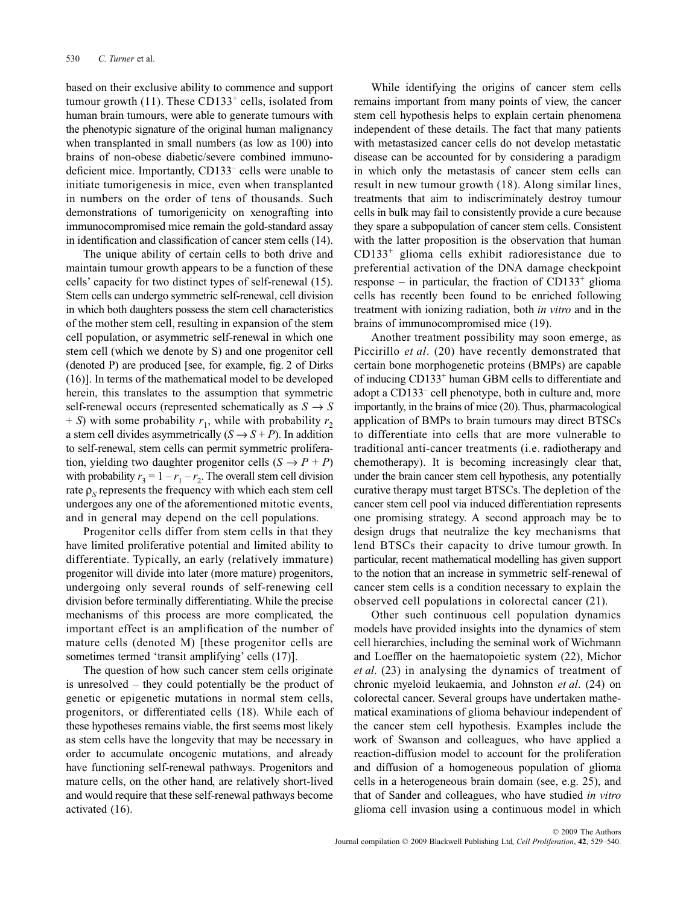based on their exclusive ability to commence and support tumour growth  $(11)$ . These CD133<sup>+</sup> cells, isolated from human brain tumours, were able to generate tumours with the phenotypic signature of the original human malignancy when transplanted in small numbers (as low as 100) into brains of non-obese diabetic/severe combined immunodeficient mice. Importantly, CD133– cells were unable to initiate tumorigenesis in mice, even when transplanted in numbers on the order of tens of thousands. Such demonstrations of tumorigenicity on xenografting into immunocompromised mice remain the gold-standard assay in identification and classification of cancer stem cells (14).

The unique ability of certain cells to both drive and maintain tumour growth appears to be a function of these cells' capacity for two distinct types of self-renewal (15). Stem cells can undergo symmetric self-renewal, cell division in which both daughters possess the stem cell characteristics of the mother stem cell, resulting in expansion of the stem cell population, or asymmetric self-renewal in which one stem cell (which we denote by S) and one progenitor cell (denoted P) are produced [see, for example, fig. 2 of Dirks (16)]. In terms of the mathematical model to be developed herein, this translates to the assumption that symmetric self-renewal occurs (represented schematically as  $S \rightarrow S$  $+ S$ ) with some probability  $r_1$ , while with probability  $r_2$ a stem cell divides asymmetrically  $(S \rightarrow S + P)$ . In addition to self-renewal, stem cells can permit symmetric proliferation, yielding two daughter progenitor cells  $(S \rightarrow P + P)$ with probability  $r_3 = 1 - r_1 - r_2$ . The overall stem cell division rate  $\rho_s$  represents the frequency with which each stem cell undergoes any one of the aforementioned mitotic events, and in general may depend on the cell populations.

Progenitor cells differ from stem cells in that they have limited proliferative potential and limited ability to differentiate. Typically, an early (relatively immature) progenitor will divide into later (more mature) progenitors, undergoing only several rounds of self-renewing cell division before terminally differentiating. While the precise mechanisms of this process are more complicated, the important effect is an amplification of the number of mature cells (denoted M) [these progenitor cells are sometimes termed 'transit amplifying' cells (17)].

The question of how such cancer stem cells originate is unresolved – they could potentially be the product of genetic or epigenetic mutations in normal stem cells, progenitors, or differentiated cells (18). While each of these hypotheses remains viable, the first seems most likely as stem cells have the longevity that may be necessary in order to accumulate oncogenic mutations, and already have functioning self-renewal pathways. Progenitors and mature cells, on the other hand, are relatively short-lived and would require that these self-renewal pathways become activated (16).

While identifying the origins of cancer stem cells remains important from many points of view, the cancer stem cell hypothesis helps to explain certain phenomena independent of these details. The fact that many patients with metastasized cancer cells do not develop metastatic disease can be accounted for by considering a paradigm in which only the metastasis of cancer stem cells can result in new tumour growth (18). Along similar lines, treatments that aim to indiscriminately destroy tumour cells in bulk may fail to consistently provide a cure because they spare a subpopulation of cancer stem cells. Consistent with the latter proposition is the observation that human CD133+ glioma cells exhibit radioresistance due to preferential activation of the DNA damage checkpoint response – in particular, the fraction of  $CD133^+$  glioma cells has recently been found to be enriched following treatment with ionizing radiation, both *in vitro* and in the brains of immunocompromised mice (19).

Another treatment possibility may soon emerge, as Piccirillo *et al*. (20) have recently demonstrated that certain bone morphogenetic proteins (BMPs) are capable of inducing CD133+ human GBM cells to differentiate and adopt a CD133– cell phenotype, both in culture and, more importantly, in the brains of mice (20). Thus, pharmacological application of BMPs to brain tumours may direct BTSCs to differentiate into cells that are more vulnerable to traditional anti-cancer treatments (i.e. radiotherapy and chemotherapy). It is becoming increasingly clear that, under the brain cancer stem cell hypothesis, any potentially curative therapy must target BTSCs. The depletion of the cancer stem cell pool via induced differentiation represents one promising strategy. A second approach may be to design drugs that neutralize the key mechanisms that lend BTSCs their capacity to drive tumour growth. In particular, recent mathematical modelling has given support to the notion that an increase in symmetric self-renewal of cancer stem cells is a condition necessary to explain the observed cell populations in colorectal cancer (21).

Other such continuous cell population dynamics models have provided insights into the dynamics of stem cell hierarchies, including the seminal work of Wichmann and Loeffler on the haematopoietic system (22), Michor *et al*. (23) in analysing the dynamics of treatment of chronic myeloid leukaemia, and Johnston *et al*. (24) on colorectal cancer. Several groups have undertaken mathematical examinations of glioma behaviour independent of the cancer stem cell hypothesis. Examples include the work of Swanson and colleagues, who have applied a reaction-diffusion model to account for the proliferation and diffusion of a homogeneous population of glioma cells in a heterogeneous brain domain (see, e.g. 25), and that of Sander and colleagues, who have studied *in vitro* glioma cell invasion using a continuous model in which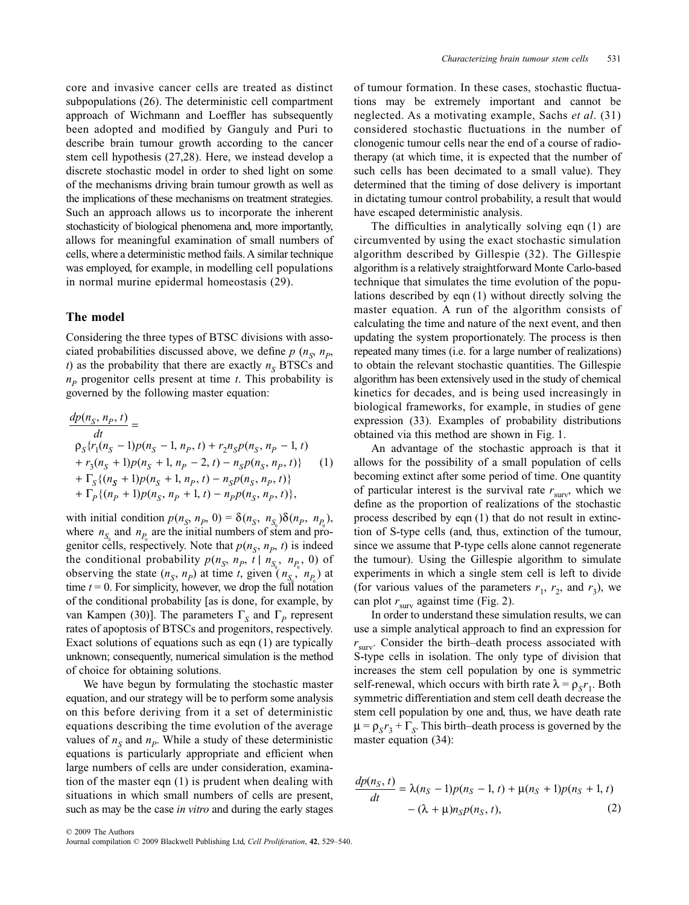core and invasive cancer cells are treated as distinct subpopulations (26). The deterministic cell compartment approach of Wichmann and Loeffler has subsequently been adopted and modified by Ganguly and Puri to describe brain tumour growth according to the cancer stem cell hypothesis (27,28). Here, we instead develop a discrete stochastic model in order to shed light on some of the mechanisms driving brain tumour growth as well as the implications of these mechanisms on treatment strategies. Such an approach allows us to incorporate the inherent stochasticity of biological phenomena and, more importantly, allows for meaningful examination of small numbers of cells, where a deterministic method fails. A similar technique was employed, for example, in modelling cell populations in normal murine epidermal homeostasis (29).

#### **The model**

Considering the three types of BTSC divisions with associated probabilities discussed above, we define  $p(n_S, n_P)$ *t*) as the probability that there are exactly  $n<sub>s</sub>$  BTSCs and  $n<sub>p</sub>$  progenitor cells present at time *t*. This probability is governed by the following master equation:

$$
\frac{dp(n_S, n_P, t)}{dt} =
$$
\n
$$
\rho_S\{r_1(n_S - 1)p(n_S - 1, n_P, t) + r_2n_Sp(n_S, n_P - 1, t) + r_3(n_S + 1)p(n_S + 1, n_P - 2, t) - n_Sp(n_S, n_P, t)\} \qquad (1)
$$
\n
$$
+ \Gamma_S\{(n_S + 1)p(n_S + 1, n_P, t) - n_Sp(n_S, n_P, t)\} + \Gamma_P\{(n_P + 1)p(n_S, n_P + 1, t) - n_Pp(n_S, n_P, t)\},
$$

with initial condition  $p(n_S, n_P, 0) = \delta(n_S, n_{S_0})\delta(n_P, n_{P_0})$ , where  $n_{S_0}$  and  $n_{P_0}$  are the initial numbers of stem and progenitor cells, respectively. Note that  $p(n<sub>S</sub>, n<sub>P</sub>, t)$  is indeed the conditional probability  $p(n_S, n_P, t | n_{S_0}, n_{P_0}, 0)$  of observing the state  $(n_S, n_P)$  at time *t*, given  $(n_{S_9}, n_{P_0})$  at time  $t = 0$ . For simplicity, however, we drop the full notation of the conditional probability [as is done, for example, by van Kampen (30)]. The parameters Γ*S* and Γ*P* represent rates of apoptosis of BTSCs and progenitors, respectively. Exact solutions of equations such as eqn (1) are typically unknown; consequently, numerical simulation is the method of choice for obtaining solutions.

We have begun by formulating the stochastic master equation, and our strategy will be to perform some analysis on this before deriving from it a set of deterministic equations describing the time evolution of the average values of  $n<sub>S</sub>$  and  $n<sub>P</sub>$ . While a study of these deterministic equations is particularly appropriate and efficient when large numbers of cells are under consideration, examination of the master eqn (1) is prudent when dealing with situations in which small numbers of cells are present, such as may be the case *in vitro* and during the early stages of tumour formation. In these cases, stochastic fluctuations may be extremely important and cannot be neglected. As a motivating example, Sachs *et al*. (31) considered stochastic fluctuations in the number of clonogenic tumour cells near the end of a course of radiotherapy (at which time, it is expected that the number of such cells has been decimated to a small value). They determined that the timing of dose delivery is important in dictating tumour control probability, a result that would have escaped deterministic analysis.

The difficulties in analytically solving eqn (1) are circumvented by using the exact stochastic simulation algorithm described by Gillespie (32). The Gillespie algorithm is a relatively straightforward Monte Carlo-based technique that simulates the time evolution of the populations described by eqn (1) without directly solving the master equation. A run of the algorithm consists of calculating the time and nature of the next event, and then updating the system proportionately. The process is then repeated many times (i.e. for a large number of realizations) to obtain the relevant stochastic quantities. The Gillespie algorithm has been extensively used in the study of chemical kinetics for decades, and is being used increasingly in biological frameworks, for example, in studies of gene expression (33). Examples of probability distributions obtained via this method are shown in Fig. 1.

An advantage of the stochastic approach is that it allows for the possibility of a small population of cells becoming extinct after some period of time. One quantity of particular interest is the survival rate  $r_{\text{surv}}$ , which we define as the proportion of realizations of the stochastic process described by eqn (1) that do not result in extinction of S-type cells (and, thus, extinction of the tumour, since we assume that P-type cells alone cannot regenerate the tumour). Using the Gillespie algorithm to simulate experiments in which a single stem cell is left to divide (for various values of the parameters  $r_1$ ,  $r_2$ , and  $r_3$ ), we can plot  $r_{\text{surv}}$  against time (Fig. 2).

In order to understand these simulation results, we can use a simple analytical approach to find an expression for  $r_{\text{surv}}$ . Consider the birth–death process associated with S-type cells in isolation. The only type of division that increases the stem cell population by one is symmetric self-renewal, which occurs with birth rate  $\lambda = \rho_S r_1$ . Both symmetric differentiation and stem cell death decrease the stem cell population by one and, thus, we have death rate  $\mu = \rho_S r_3 + \Gamma_S$ . This birth–death process is governed by the master equation (34):

$$
\frac{dp(n_S, t)}{dt} = \lambda(n_S - 1)p(n_S - 1, t) + \mu(n_S + 1)p(n_S + 1, t) - (\lambda + \mu)n_S p(n_S, t),
$$
\n(2)

© 2009 The Authors Journal compilation © 2009 Blackwell Publishing Ltd, *Cell Proliferation*, **42**, 529*–*540.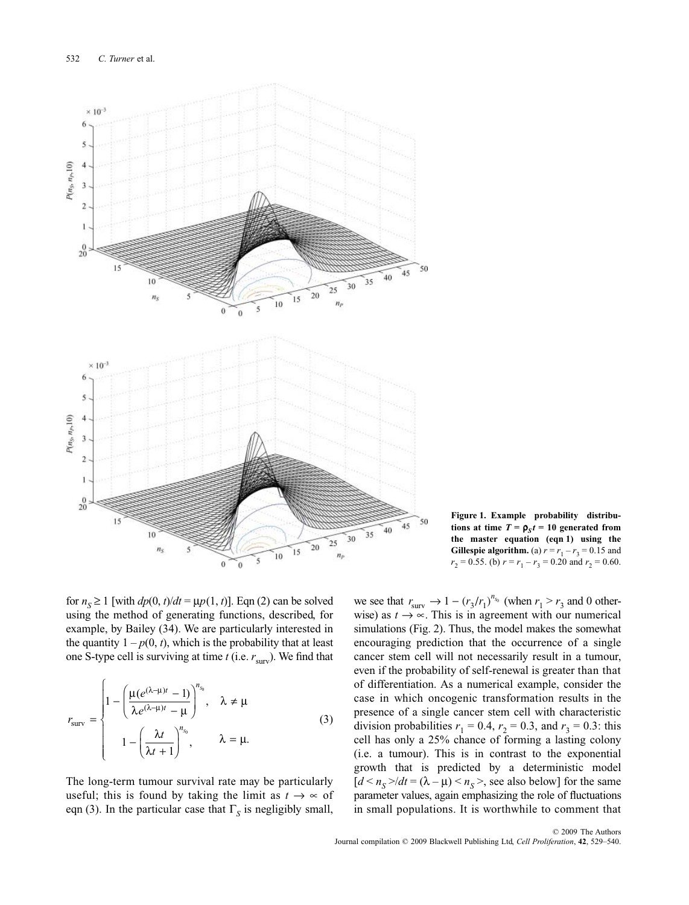

**Figure 1. Example probability distributions at time**  $T = \rho_s t = 10$  generated from **the master equation (eqn 1) using the Gillespie algorithm.** (a)  $r = r_1 - r_3 = 0.15$  and  $r_2 = 0.55$ . (b)  $r = r_1 - r_3 = 0.20$  and  $r_2 = 0.60$ .

for  $n<sub>S</sub> \ge 1$  [with  $dp(0, t)/dt = \mu p(1, t)$ ]. Eqn (2) can be solved using the method of generating functions, described, for example, by Bailey (34). We are particularly interested in the quantity  $1 - p(0, t)$ , which is the probability that at least one S-type cell is surviving at time  $t$  (i.e.  $r_{\text{surv}}$ ). We find that

$$
r_{\text{surv}} = \begin{cases} 1 - \left(\frac{\mu(e^{(\lambda-\mu)t} - 1)}{\lambda e^{(\lambda-\mu)t} - \mu}\right)^{n_{s_0}}, & \lambda \neq \mu \\ 1 - \left(\frac{\lambda t}{\lambda t + 1}\right)^{n_{s_0}}, & \lambda = \mu. \end{cases}
$$
(3)

The long-term tumour survival rate may be particularly useful; this is found by taking the limit as  $t \to \infty$  of eqn (3). In the particular case that  $\Gamma<sub>S</sub>$  is negligibly small,

we see that  $r_{\text{surv}} \rightarrow 1 - (r_3/r_1)^{n_{s_0}}$  (when  $r_1 > r_3$  and 0 otherwise) as  $t \rightarrow \infty$ . This is in agreement with our numerical simulations (Fig. 2). Thus, the model makes the somewhat encouraging prediction that the occurrence of a single cancer stem cell will not necessarily result in a tumour, even if the probability of self-renewal is greater than that of differentiation. As a numerical example, consider the case in which oncogenic transformation results in the presence of a single cancer stem cell with characteristic division probabilities  $r_1 = 0.4$ ,  $r_2 = 0.3$ , and  $r_3 = 0.3$ : this cell has only a 25% chance of forming a lasting colony (i.e. a tumour). This is in contrast to the exponential growth that is predicted by a deterministic model  $[d \le n_S > / dt = (\lambda - \mu) \le n_S >$ , see also below] for the same parameter values, again emphasizing the role of fluctuations in small populations. It is worthwhile to comment that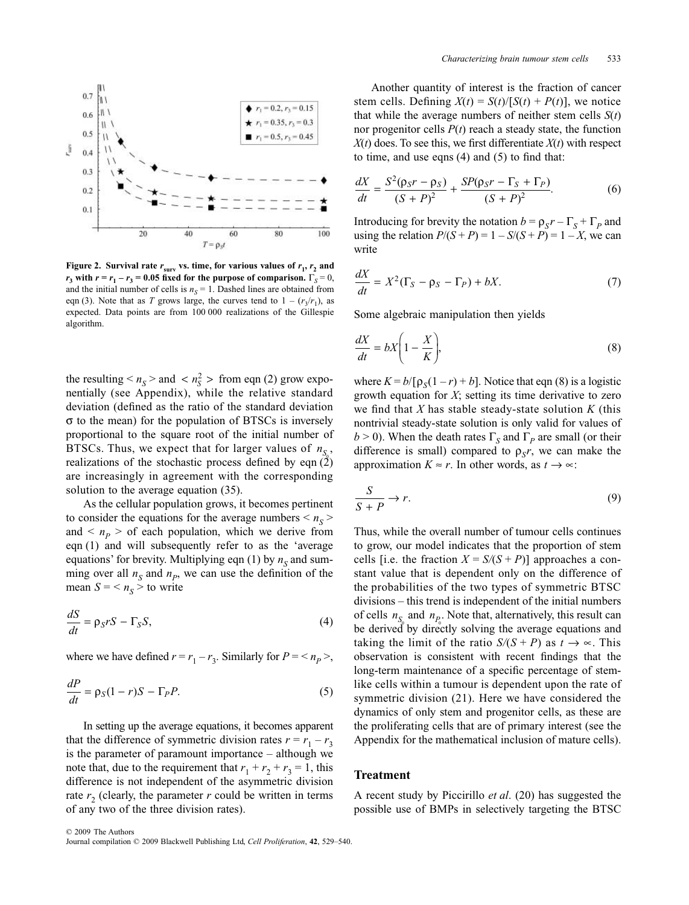

**Figure 2.** Survival rate  $r_{\text{surv}}$  vs. time, for various values of  $r_1$ ,  $r_2$  and  $r_3$  with  $r = r_1 - r_3 = 0.05$  fixed for the purpose of comparison.  $\Gamma_s = 0$ , and the initial number of cells is  $n<sub>S</sub> = 1$ . Dashed lines are obtained from eqn (3). Note that as *T* grows large, the curves tend to  $1 - (r_3/r_1)$ , as expected. Data points are from 100 000 realizations of the Gillespie algorithm.

the resulting  $\langle n_S \rangle$  and  $\langle n_S^2 \rangle$  from eqn (2) grow exponentially (see Appendix), while the relative standard deviation (defined as the ratio of the standard deviation σ to the mean) for the population of BTSCs is inversely proportional to the square root of the initial number of BTSCs. Thus, we expect that for larger values of  $n_{S_0}$ , realizations of the stochastic process defined by eqn  $(2)$ are increasingly in agreement with the corresponding solution to the average equation (35).

As the cellular population grows, it becomes pertinent to consider the equations for the average numbers  $\leq n_{\rm s}$ and  $\leq n_p >$  of each population, which we derive from eqn (1) and will subsequently refer to as the 'average equations' for brevity. Multiplying eqn  $(1)$  by  $n<sub>S</sub>$  and summing over all  $n<sub>S</sub>$  and  $n<sub>P</sub>$ , we can use the definition of the mean  $S = \langle n_S \rangle$  to write

$$
\frac{dS}{dt} = \rho_S rS - \Gamma_S S,\tag{4}
$$

where we have defined  $r = r_1 - r_3$ . Similarly for  $P = \langle n_P \rangle$ ,

$$
\frac{dP}{dt} = \rho_S (1 - r)S - \Gamma_P P. \tag{5}
$$

In setting up the average equations, it becomes apparent that the difference of symmetric division rates  $r = r_1 - r_3$ is the parameter of paramount importance – although we note that, due to the requirement that  $r_1 + r_2 + r_3 = 1$ , this difference is not independent of the asymmetric division rate  $r_2$  (clearly, the parameter  $r$  could be written in terms of any two of the three division rates).

Another quantity of interest is the fraction of cancer stem cells. Defining  $X(t) = S(t)/[S(t) + P(t)]$ , we notice that while the average numbers of neither stem cells  $S(t)$ nor progenitor cells *P*(*t*) reach a steady state, the function  $X(t)$  does. To see this, we first differentiate  $X(t)$  with respect to time, and use eqns (4) and (5) to find that:

$$
\frac{dX}{dt} = \frac{S^2(\rho_S r - \rho_S)}{(S + P)^2} + \frac{SP(\rho_S r - \Gamma_S + \Gamma_P)}{(S + P)^2}.
$$
(6)

Introducing for brevity the notation  $b = \rho_S r - \Gamma_S + \Gamma_P$  and using the relation  $P/(S + P) = 1 - S/(S + P) = 1 - X$ , we can write

$$
\frac{dX}{dt} = X^2(\Gamma_S - \rho_S - \Gamma_P) + bX. \tag{7}
$$

Some algebraic manipulation then yields

$$
\frac{dX}{dt} = bX\left(1 - \frac{X}{K}\right),\tag{8}
$$

where  $K = b/[\rho_s(1 - r) + b]$ . Notice that eqn (8) is a logistic growth equation for *X*; setting its time derivative to zero we find that *X* has stable steady-state solution *K* (this nontrivial steady-state solution is only valid for values of  $b > 0$ ). When the death rates  $\Gamma_s$  and  $\Gamma_p$  are small (or their difference is small) compared to  $\rho_s r$ , we can make the approximation  $K \approx r$ . In other words, as  $t \to \infty$ :

$$
\frac{S}{S+P} \to r. \tag{9}
$$

Thus, while the overall number of tumour cells continues to grow, our model indicates that the proportion of stem cells [i.e. the fraction  $X = S/(S + P)$ ] approaches a constant value that is dependent only on the difference of the probabilities of the two types of symmetric BTSC divisions – this trend is independent of the initial numbers of cells  $n_{S_0}$  and  $n_{P_0}$ . Note that, alternatively, this result can be derived by directly solving the average equations and taking the limit of the ratio  $S/(S + P)$  as  $t \to \infty$ . This observation is consistent with recent findings that the long-term maintenance of a specific percentage of stemlike cells within a tumour is dependent upon the rate of symmetric division (21). Here we have considered the dynamics of only stem and progenitor cells, as these are the proliferating cells that are of primary interest (see the Appendix for the mathematical inclusion of mature cells).

#### **Treatment**

A recent study by Piccirillo *et al*. (20) has suggested the possible use of BMPs in selectively targeting the BTSC

© 2009 The Authors Journal compilation © 2009 Blackwell Publishing Ltd, *Cell Proliferation*, **42**, 529*–*540.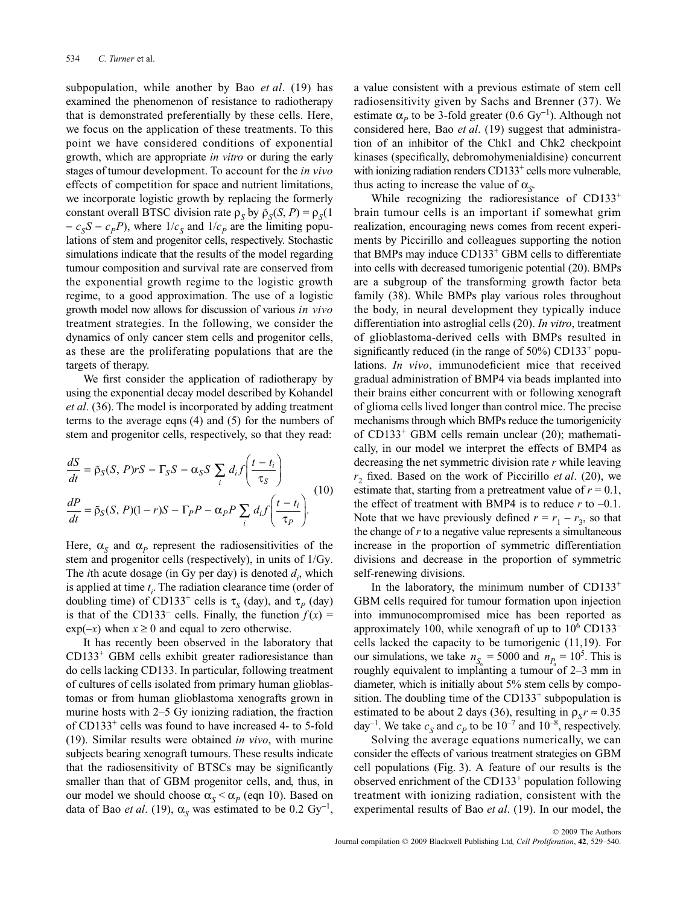subpopulation, while another by Bao *et al*. (19) has examined the phenomenon of resistance to radiotherapy that is demonstrated preferentially by these cells. Here, we focus on the application of these treatments. To this point we have considered conditions of exponential growth, which are appropriate *in vitro* or during the early stages of tumour development. To account for the *in vivo* effects of competition for space and nutrient limitations, we incorporate logistic growth by replacing the formerly constant overall BTSC division rate  $\rho_s$  by  $\tilde{\rho}_s(S, P) = \rho_s(1)$  $-c_S S - c_p P$ , where  $1/c_S$  and  $1/c_p$  are the limiting populations of stem and progenitor cells, respectively. Stochastic simulations indicate that the results of the model regarding tumour composition and survival rate are conserved from the exponential growth regime to the logistic growth regime, to a good approximation. The use of a logistic growth model now allows for discussion of various *in vivo* treatment strategies. In the following, we consider the dynamics of only cancer stem cells and progenitor cells, as these are the proliferating populations that are the targets of therapy.

We first consider the application of radiotherapy by using the exponential decay model described by Kohandel *et al*. (36). The model is incorporated by adding treatment terms to the average eqns (4) and (5) for the numbers of stem and progenitor cells, respectively, so that they read:

$$
\frac{dS}{dt} = \tilde{\rho}_S(S, P)rS - \Gamma_S S - \alpha_S S \sum_i d_i f\left(\frac{t - t_i}{\tau_S}\right)
$$
  

$$
\frac{dP}{dt} = \tilde{\rho}_S(S, P)(1 - r)S - \Gamma_P P - \alpha_P P \sum_i d_i f\left(\frac{t - t_i}{\tau_P}\right).
$$
(10)

Here,  $\alpha_s$  and  $\alpha_p$  represent the radiosensitivities of the stem and progenitor cells (respectively), in units of 1/Gy. The *i*th acute dosage (in Gy per day) is denoted  $d_i$ , which is applied at time  $t_i$ . The radiation clearance time (order of doubling time) of CD133<sup>+</sup> cells is  $\tau_S$  (day), and  $\tau_P$  (day) is that of the CD133<sup>-</sup> cells. Finally, the function  $f(x) =$  $\exp(-x)$  when  $x \ge 0$  and equal to zero otherwise.

It has recently been observed in the laboratory that  $CD133<sup>+</sup>$  GBM cells exhibit greater radioresistance than do cells lacking CD133. In particular, following treatment of cultures of cells isolated from primary human glioblastomas or from human glioblastoma xenografts grown in murine hosts with 2–5 Gy ionizing radiation, the fraction of CD133+ cells was found to have increased 4- to 5-fold (19). Similar results were obtained *in vivo*, with murine subjects bearing xenograft tumours. These results indicate that the radiosensitivity of BTSCs may be significantly smaller than that of GBM progenitor cells, and, thus, in our model we should choose  $\alpha_s < \alpha_p$  (eqn 10). Based on data of Bao *et al.* (19),  $\alpha_S$  was estimated to be 0.2 Gy<sup>-1</sup>,

a value consistent with a previous estimate of stem cell radiosensitivity given by Sachs and Brenner (37). We estimate  $\alpha_p$  to be 3-fold greater (0.6 Gy<sup>-1</sup>). Although not considered here, Bao *et al*. (19) suggest that administration of an inhibitor of the Chk1 and Chk2 checkpoint kinases (specifically, debromohymenialdisine) concurrent with ionizing radiation renders CD133<sup>+</sup> cells more vulnerable, thus acting to increase the value of  $\alpha_{\rm s}$ .

While recognizing the radioresistance of  $CD133<sup>+</sup>$ brain tumour cells is an important if somewhat grim realization, encouraging news comes from recent experiments by Piccirillo and colleagues supporting the notion that BMPs may induce  $CD133<sup>+</sup>$  GBM cells to differentiate into cells with decreased tumorigenic potential (20). BMPs are a subgroup of the transforming growth factor beta family (38). While BMPs play various roles throughout the body, in neural development they typically induce differentiation into astroglial cells (20). *In vitro*, treatment of glioblastoma-derived cells with BMPs resulted in significantly reduced (in the range of  $50\%$ ) CD133<sup>+</sup> populations. *In vivo*, immunodeficient mice that received gradual administration of BMP4 via beads implanted into their brains either concurrent with or following xenograft of glioma cells lived longer than control mice. The precise mechanisms through which BMPs reduce the tumorigenicity of CD133+ GBM cells remain unclear (20); mathematically, in our model we interpret the effects of BMP4 as decreasing the net symmetric division rate *r* while leaving  $r<sub>2</sub>$  fixed. Based on the work of Piccirillo *et al.* (20), we estimate that, starting from a pretreatment value of  $r = 0.1$ , the effect of treatment with BMP4 is to reduce  $r$  to  $-0.1$ . Note that we have previously defined  $r = r_1 - r_3$ , so that the change of *r* to a negative value represents a simultaneous increase in the proportion of symmetric differentiation divisions and decrease in the proportion of symmetric self-renewing divisions.

In the laboratory, the minimum number of  $CD133^+$ GBM cells required for tumour formation upon injection into immunocompromised mice has been reported as approximately 100, while xenograft of up to  $10^6$  CD133<sup>–</sup> cells lacked the capacity to be tumorigenic (11,19). For our simulations, we take  $n_{S_0} = 5000$  and  $n_{P_0} = 10^5$ . This is roughly equivalent to implanting a tumour of 2–3 mm in diameter, which is initially about 5% stem cells by composition. The doubling time of the CD133<sup>+</sup> subpopulation is estimated to be about 2 days (36), resulting in  $\rho_{S} r \approx 0.35$ day<sup>-1</sup>. We take  $c_S$  and  $c_P$  to be  $10^{-7}$  and  $10^{-8}$ , respectively.

Solving the average equations numerically, we can consider the effects of various treatment strategies on GBM cell populations (Fig. 3). A feature of our results is the observed enrichment of the CD133+ population following treatment with ionizing radiation, consistent with the experimental results of Bao *et al*. (19). In our model, the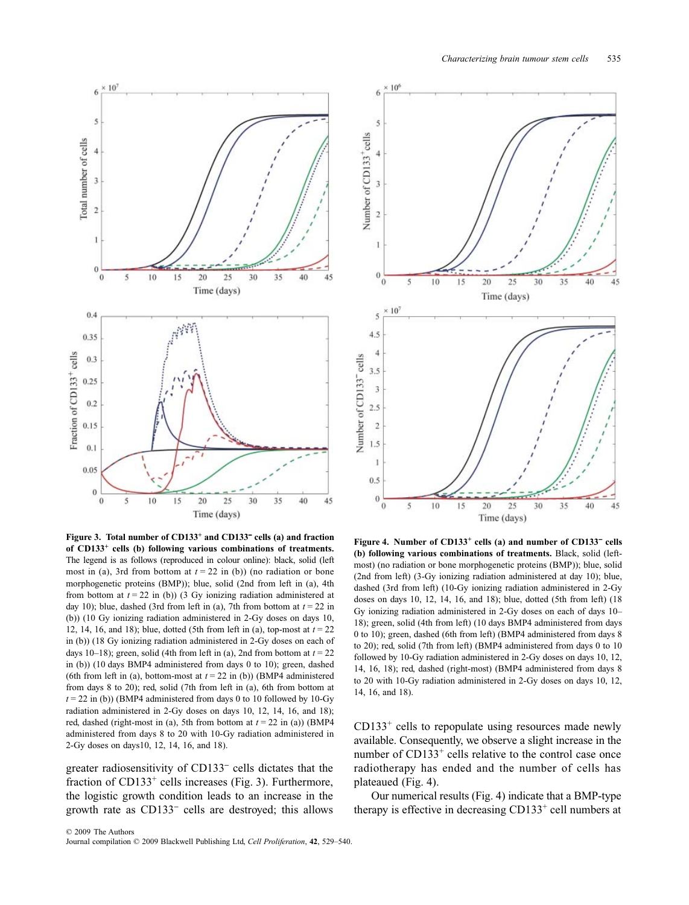

**Figure 3. Total number of CD133+ and CD133**<sup>−</sup> **cells (a) and fraction of CD133+ cells (b) following various combinations of treatments.** The legend is as follows (reproduced in colour online): black, solid (left most in (a), 3rd from bottom at  $t = 22$  in (b)) (no radiation or bone morphogenetic proteins (BMP)); blue, solid (2nd from left in (a), 4th from bottom at  $t = 22$  in (b)) (3 Gy ionizing radiation administered at day 10); blue, dashed (3rd from left in (a), 7th from bottom at  $t = 22$  in (b)) (10 Gy ionizing radiation administered in 2-Gy doses on days 10, 12, 14, 16, and 18); blue, dotted (5th from left in (a), top-most at *t* = 22 in (b)) (18 Gy ionizing radiation administered in 2-Gy doses on each of days 10–18); green, solid (4th from left in (a), 2nd from bottom at  $t = 22$ in (b)) (10 days BMP4 administered from days 0 to 10); green, dashed (6th from left in (a), bottom-most at  $t = 22$  in (b)) (BMP4 administered from days 8 to 20); red, solid (7th from left in (a), 6th from bottom at  $t = 22$  in (b)) (BMP4 administered from days 0 to 10 followed by 10-Gy radiation administered in 2-Gy doses on days 10, 12, 14, 16, and 18); red, dashed (right-most in (a), 5th from bottom at  $t = 22$  in (a)) (BMP4 administered from days 8 to 20 with 10-Gy radiation administered in 2-Gy doses on days10, 12, 14, 16, and 18).

greater radiosensitivity of CD133<sup>−</sup> cells dictates that the fraction of  $CD133<sup>+</sup>$  cells increases (Fig. 3). Furthermore, the logistic growth condition leads to an increase in the growth rate as CD133<sup>−</sup> cells are destroyed; this allows



**Figure 4. Number of CD133+ cells (a) and number of CD133**<sup>−</sup> **cells (b) following various combinations of treatments.** Black, solid (leftmost) (no radiation or bone morphogenetic proteins (BMP)); blue, solid (2nd from left) (3-Gy ionizing radiation administered at day 10); blue, dashed (3rd from left) (10-Gy ionizing radiation administered in 2-Gy doses on days 10, 12, 14, 16, and 18); blue, dotted (5th from left) (18 Gy ionizing radiation administered in 2-Gy doses on each of days 10– 18); green, solid (4th from left) (10 days BMP4 administered from days 0 to 10); green, dashed (6th from left) (BMP4 administered from days 8 to 20); red, solid (7th from left) (BMP4 administered from days 0 to 10 followed by 10-Gy radiation administered in 2-Gy doses on days 10, 12, 14, 16, 18); red, dashed (right-most) (BMP4 administered from days 8 to 20 with 10-Gy radiation administered in 2-Gy doses on days 10, 12, 14, 16, and 18).

 $CD133<sup>+</sup>$  cells to repopulate using resources made newly available. Consequently, we observe a slight increase in the number of CD133<sup>+</sup> cells relative to the control case once radiotherapy has ended and the number of cells has plateaued (Fig. 4).

Our numerical results (Fig. 4) indicate that a BMP-type therapy is effective in decreasing  $CD133<sup>+</sup>$  cell numbers at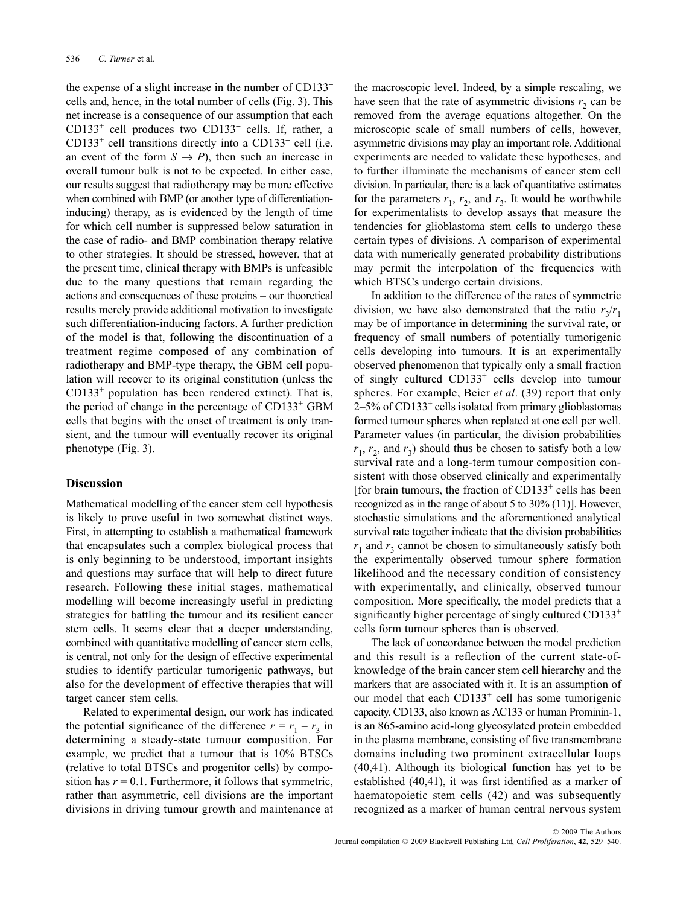the expense of a slight increase in the number of CD133<sup>−</sup> cells and, hence, in the total number of cells (Fig. 3). This net increase is a consequence of our assumption that each CD133+ cell produces two CD133<sup>−</sup> cells. If, rather, a CD133+ cell transitions directly into a CD133<sup>−</sup> cell (i.e. an event of the form  $S \to P$ ), then such an increase in overall tumour bulk is not to be expected. In either case, our results suggest that radiotherapy may be more effective when combined with BMP (or another type of differentiationinducing) therapy, as is evidenced by the length of time for which cell number is suppressed below saturation in the case of radio- and BMP combination therapy relative to other strategies. It should be stressed, however, that at the present time, clinical therapy with BMPs is unfeasible due to the many questions that remain regarding the actions and consequences of these proteins – our theoretical results merely provide additional motivation to investigate such differentiation-inducing factors. A further prediction of the model is that, following the discontinuation of a treatment regime composed of any combination of radiotherapy and BMP-type therapy, the GBM cell population will recover to its original constitution (unless the  $CD133<sup>+</sup>$  population has been rendered extinct). That is, the period of change in the percentage of  $CD133<sup>+</sup>$  GBM cells that begins with the onset of treatment is only transient, and the tumour will eventually recover its original phenotype (Fig. 3).

#### **Discussion**

Mathematical modelling of the cancer stem cell hypothesis is likely to prove useful in two somewhat distinct ways. First, in attempting to establish a mathematical framework that encapsulates such a complex biological process that is only beginning to be understood, important insights and questions may surface that will help to direct future research. Following these initial stages, mathematical modelling will become increasingly useful in predicting strategies for battling the tumour and its resilient cancer stem cells. It seems clear that a deeper understanding, combined with quantitative modelling of cancer stem cells, is central, not only for the design of effective experimental studies to identify particular tumorigenic pathways, but also for the development of effective therapies that will target cancer stem cells.

Related to experimental design, our work has indicated the potential significance of the difference  $r = r_1 - r_3$  in determining a steady-state tumour composition. For example, we predict that a tumour that is 10% BTSCs (relative to total BTSCs and progenitor cells) by composition has  $r = 0.1$ . Furthermore, it follows that symmetric, rather than asymmetric, cell divisions are the important divisions in driving tumour growth and maintenance at

the macroscopic level. Indeed, by a simple rescaling, we have seen that the rate of asymmetric divisions  $r<sub>2</sub>$  can be removed from the average equations altogether. On the microscopic scale of small numbers of cells, however, asymmetric divisions may play an important role. Additional experiments are needed to validate these hypotheses, and to further illuminate the mechanisms of cancer stem cell division. In particular, there is a lack of quantitative estimates for the parameters  $r_1$ ,  $r_2$ , and  $r_3$ . It would be worthwhile for experimentalists to develop assays that measure the tendencies for glioblastoma stem cells to undergo these certain types of divisions. A comparison of experimental data with numerically generated probability distributions may permit the interpolation of the frequencies with which BTSCs undergo certain divisions.

In addition to the difference of the rates of symmetric division, we have also demonstrated that the ratio  $r_2/r_1$ may be of importance in determining the survival rate, or frequency of small numbers of potentially tumorigenic cells developing into tumours. It is an experimentally observed phenomenon that typically only a small fraction of singly cultured  $CD133<sup>+</sup>$  cells develop into tumour spheres. For example, Beier *et al*. (39) report that only 2–5% of CD133+ cells isolated from primary glioblastomas formed tumour spheres when replated at one cell per well. Parameter values (in particular, the division probabilities  $r_1$ ,  $r_2$ , and  $r_3$ ) should thus be chosen to satisfy both a low survival rate and a long-term tumour composition consistent with those observed clinically and experimentally [for brain tumours, the fraction of  $CD133<sup>+</sup>$  cells has been recognized as in the range of about 5 to 30% (11)]. However, stochastic simulations and the aforementioned analytical survival rate together indicate that the division probabilities  $r_1$  and  $r_3$  cannot be chosen to simultaneously satisfy both the experimentally observed tumour sphere formation likelihood and the necessary condition of consistency with experimentally, and clinically, observed tumour composition. More specifically, the model predicts that a significantly higher percentage of singly cultured CD133<sup>+</sup> cells form tumour spheres than is observed.

The lack of concordance between the model prediction and this result is a reflection of the current state-ofknowledge of the brain cancer stem cell hierarchy and the markers that are associated with it. It is an assumption of our model that each  $CD133<sup>+</sup>$  cell has some tumorigenic capacity. CD133, also known as AC133 or human Prominin-1, is an 865-amino acid-long glycosylated protein embedded in the plasma membrane, consisting of five transmembrane domains including two prominent extracellular loops (40,41). Although its biological function has yet to be established (40,41), it was first identified as a marker of haematopoietic stem cells (42) and was subsequently recognized as a marker of human central nervous system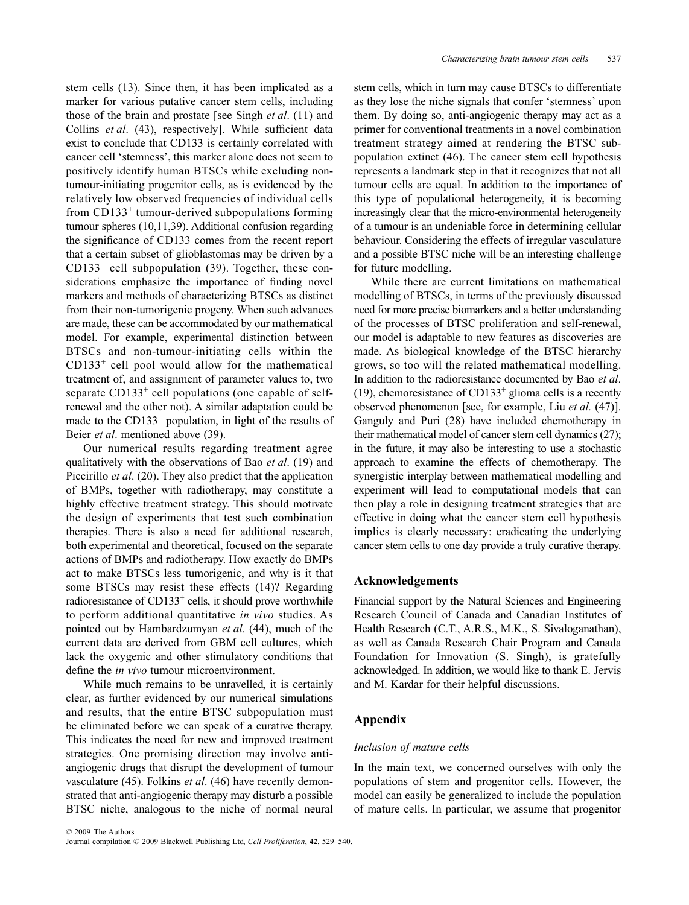stem cells (13). Since then, it has been implicated as a marker for various putative cancer stem cells, including those of the brain and prostate [see Singh *et al*. (11) and Collins *et al*. (43), respectively]. While sufficient data exist to conclude that CD133 is certainly correlated with cancer cell 'stemness', this marker alone does not seem to positively identify human BTSCs while excluding nontumour-initiating progenitor cells, as is evidenced by the relatively low observed frequencies of individual cells from  $CD133<sup>+</sup>$  tumour-derived subpopulations forming tumour spheres (10,11,39). Additional confusion regarding the significance of CD133 comes from the recent report that a certain subset of glioblastomas may be driven by a CD133<sup>−</sup> cell subpopulation (39). Together, these considerations emphasize the importance of finding novel markers and methods of characterizing BTSCs as distinct from their non-tumorigenic progeny. When such advances are made, these can be accommodated by our mathematical model. For example, experimental distinction between BTSCs and non-tumour-initiating cells within the CD133+ cell pool would allow for the mathematical treatment of, and assignment of parameter values to, two separate  $CD133<sup>+</sup>$  cell populations (one capable of selfrenewal and the other not). A similar adaptation could be made to the CD133<sup>−</sup> population, in light of the results of Beier *et al*. mentioned above (39).

Our numerical results regarding treatment agree qualitatively with the observations of Bao *et al*. (19) and Piccirillo *et al*. (20). They also predict that the application of BMPs, together with radiotherapy, may constitute a highly effective treatment strategy. This should motivate the design of experiments that test such combination therapies. There is also a need for additional research, both experimental and theoretical, focused on the separate actions of BMPs and radiotherapy. How exactly do BMPs act to make BTSCs less tumorigenic, and why is it that some BTSCs may resist these effects (14)? Regarding radioresistance of  $CD133<sup>+</sup>$  cells, it should prove worthwhile to perform additional quantitative *in vivo* studies. As pointed out by Hambardzumyan *et al*. (44), much of the current data are derived from GBM cell cultures, which lack the oxygenic and other stimulatory conditions that define the *in vivo* tumour microenvironment.

While much remains to be unravelled, it is certainly clear, as further evidenced by our numerical simulations and results, that the entire BTSC subpopulation must be eliminated before we can speak of a curative therapy. This indicates the need for new and improved treatment strategies. One promising direction may involve antiangiogenic drugs that disrupt the development of tumour vasculature (45). Folkins *et al*. (46) have recently demonstrated that anti-angiogenic therapy may disturb a possible BTSC niche, analogous to the niche of normal neural

stem cells, which in turn may cause BTSCs to differentiate as they lose the niche signals that confer 'stemness' upon them. By doing so, anti-angiogenic therapy may act as a primer for conventional treatments in a novel combination treatment strategy aimed at rendering the BTSC subpopulation extinct (46). The cancer stem cell hypothesis represents a landmark step in that it recognizes that not all tumour cells are equal. In addition to the importance of this type of populational heterogeneity, it is becoming increasingly clear that the micro-environmental heterogeneity of a tumour is an undeniable force in determining cellular behaviour. Considering the effects of irregular vasculature and a possible BTSC niche will be an interesting challenge for future modelling.

While there are current limitations on mathematical modelling of BTSCs, in terms of the previously discussed need for more precise biomarkers and a better understanding of the processes of BTSC proliferation and self-renewal, our model is adaptable to new features as discoveries are made. As biological knowledge of the BTSC hierarchy grows, so too will the related mathematical modelling. In addition to the radioresistance documented by Bao *et al*. (19), chemoresistance of CD133<sup>+</sup> glioma cells is a recently observed phenomenon [see, for example, Liu *et al.* (47)]. Ganguly and Puri (28) have included chemotherapy in their mathematical model of cancer stem cell dynamics (27); in the future, it may also be interesting to use a stochastic approach to examine the effects of chemotherapy. The synergistic interplay between mathematical modelling and experiment will lead to computational models that can then play a role in designing treatment strategies that are effective in doing what the cancer stem cell hypothesis implies is clearly necessary: eradicating the underlying cancer stem cells to one day provide a truly curative therapy.

#### **Acknowledgements**

Financial support by the Natural Sciences and Engineering Research Council of Canada and Canadian Institutes of Health Research (C.T., A.R.S., M.K., S. Sivaloganathan), as well as Canada Research Chair Program and Canada Foundation for Innovation (S. Singh), is gratefully acknowledged. In addition, we would like to thank E. Jervis and M. Kardar for their helpful discussions.

## **Appendix**

#### *Inclusion of mature cells*

In the main text, we concerned ourselves with only the populations of stem and progenitor cells. However, the model can easily be generalized to include the population of mature cells. In particular, we assume that progenitor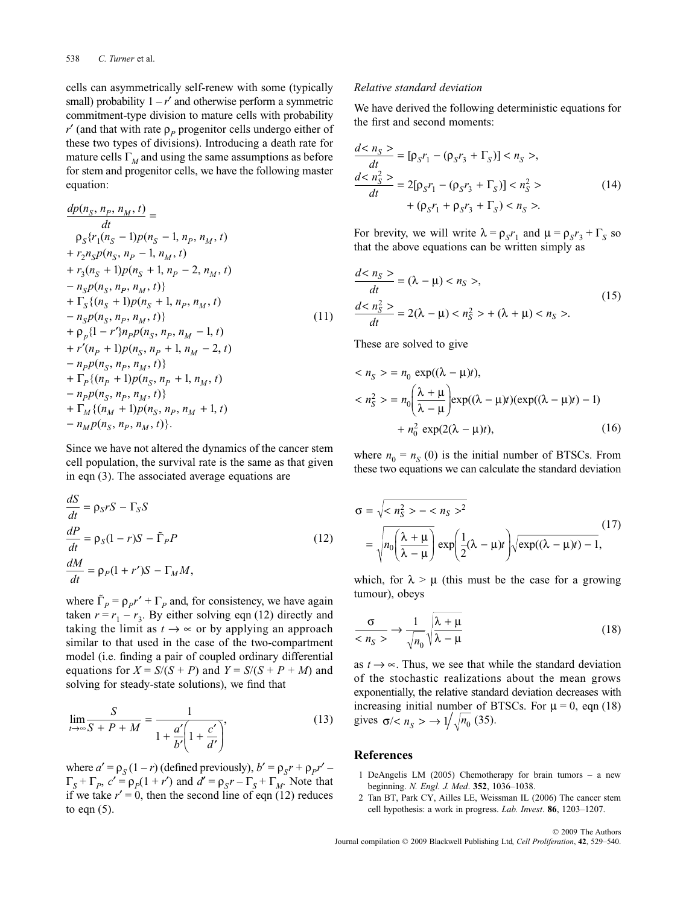cells can asymmetrically self-renew with some (typically small) probability  $1 - r'$  and otherwise perform a symmetric commitment-type division to mature cells with probability  $r'$  (and that with rate  $\rho_p$  progenitor cells undergo either of these two types of divisions). Introducing a death rate for mature cells  $\Gamma_M$  and using the same assumptions as before for stem and progenitor cells, we have the following master equation:

$$
\frac{dp(n_S, n_P, n_M, t)}{dt} =
$$
\n
$$
\frac{dt}{p_S\{r_1(n_S - 1)p(n_S - 1, n_P, n_M, t)} + r_2 n_S p(n_S, n_P - 1, n_M, t)} + r_3(n_S + 1)p(n_S + 1, n_P - 2, n_M, t) + r_S(n_S, n_P, n_M, t) + r_S(n_S + 1)p(n_S + 1, n_P, n_M, t) - n_S p(n_S, n_P, n_M, t) + \rho_p\{1 - r'\} n_P p(n_S, n_P, n_M - 1, t) + r'(n_P + 1)p(n_S, n_P + 1, n_M - 2, t) - n_P p(n_S, n_P, n_M, t) + r_P\{(n_P + 1)p(n_S, n_P + 1, n_M, t) - n_P p(n_S, n_P, n_M, t)\} + r_M\{(n_M + 1)p(n_S, n_P, n_M + 1, t) - n_M p(n_S, n_P, n_M, t)\}.
$$

Since we have not altered the dynamics of the cancer stem cell population, the survival rate is the same as that given in eqn (3). The associated average equations are

$$
\frac{dS}{dt} = \rho_S rS - \Gamma_S S
$$
  
\n
$$
\frac{dP}{dt} = \rho_S (1 - r)S - \tilde{\Gamma}_P P
$$
  
\n
$$
\frac{dM}{dt} = \rho_P (1 + r')S - \Gamma_M M,
$$
\n(12)

where  $\tilde{\Gamma}_p = \rho_p r' + \Gamma_p$  and, for consistency, we have again taken  $r = r_1 - r_3$ . By either solving eqn (12) directly and taking the limit as  $t \rightarrow \infty$  or by applying an approach similar to that used in the case of the two-compartment model (i.e. finding a pair of coupled ordinary differential equations for  $X = S/(S + P)$  and  $Y = S/(S + P + M)$  and solving for steady-state solutions), we find that

$$
\lim_{t \to \infty} \frac{S}{S + P + M} = \frac{1}{1 + \frac{a'}{b'} \left(1 + \frac{c'}{d'}\right)},
$$
\n(13)

where  $a' = \rho_S (1 - r)$  (defined previously),  $b' = \rho_S r + \rho_P r'$  $\Gamma_S + \Gamma_P$ ,  $c' = \rho_P(1 + r')$  and  $d' = \rho_S r - \Gamma_S + \Gamma_M$ . Note that if we take  $r' = 0$ , then the second line of eqn (12) reduces to eqn  $(5)$ .

#### *Relative standard deviation*

We have derived the following deterministic equations for the first and second moments:

$$
\frac{d < n_S \ge}{dt} = [\rho_S r_1 - (\rho_S r_3 + \Gamma_S)] < n_S \ge, \\
\frac{d < n_S^2 \ge}{dt} = 2[\rho_S r_1 - (\rho_S r_3 + \Gamma_S)] < n_S^2 \ge \\
 \qquad + (\rho_S r_1 + \rho_S r_3 + \Gamma_S) < n_S \ge.
$$
\n(14)

For brevity, we will write  $\lambda = \rho_s r_1$  and  $\mu = \rho_s r_3 + \Gamma_s$  so that the above equations can be written simply as

$$
\frac{d < n_S >}{dt} = (\lambda - \mu) < n_S >, \\
\frac{d < n_S^2 >}{dt} = 2(\lambda - \mu) < n_S^2 > + (\lambda + \mu) < n_S >. \tag{15}
$$

These are solved to give

$$
\langle n_{S} \rangle = n_{0} \exp((\lambda - \mu)t),
$$
  

$$
\langle n_{S}^{2} \rangle = n_{0} \left( \frac{\lambda + \mu}{\lambda - \mu} \right) \exp((\lambda - \mu)t) (\exp((\lambda - \mu)t) - 1)
$$
  

$$
+ n_{0}^{2} \exp(2(\lambda - \mu)t), \qquad (16)
$$

where  $n_0 = n_S(0)$  is the initial number of BTSCs. From these two equations we can calculate the standard deviation

$$
\sigma = \sqrt{m_S^2 - m_S^2} = \sqrt{n_0 \left(\frac{\lambda + \mu}{\lambda - \mu}\right)} \exp\left(\frac{1}{2}(\lambda - \mu)t\right) \sqrt{\exp((\lambda - \mu)t) - 1},\tag{17}
$$

which, for  $\lambda > \mu$  (this must be the case for a growing tumour), obeys

$$
\frac{\sigma}{\langle n_S \rangle} \to \frac{1}{\sqrt{n_0}} \sqrt{\frac{\lambda + \mu}{\lambda - \mu}}
$$
 (18)

as  $t \rightarrow \infty$ . Thus, we see that while the standard deviation of the stochastic realizations about the mean grows exponentially, the relative standard deviation decreases with increasing initial number of BTSCs. For  $\mu = 0$ , eqn (18) gives  $\sigma$ /<  $n_s$  >  $\rightarrow$  1/ $\sqrt{n_0}$  (35).

## **References**

- 1 DeAngelis LM (2005) Chemotherapy for brain tumors a new beginning. *N. Engl. J. Med*. **352**, 1036–1038.
- 2 Tan BT, Park CY, Ailles LE, Weissman IL (2006) The cancer stem cell hypothesis: a work in progress. *Lab. Invest*. **86**, 1203–1207.

© 2009 The Authors Journal compilation © 2009 Blackwell Publishing Ltd, *Cell Proliferation*, **42**, 529*–*540.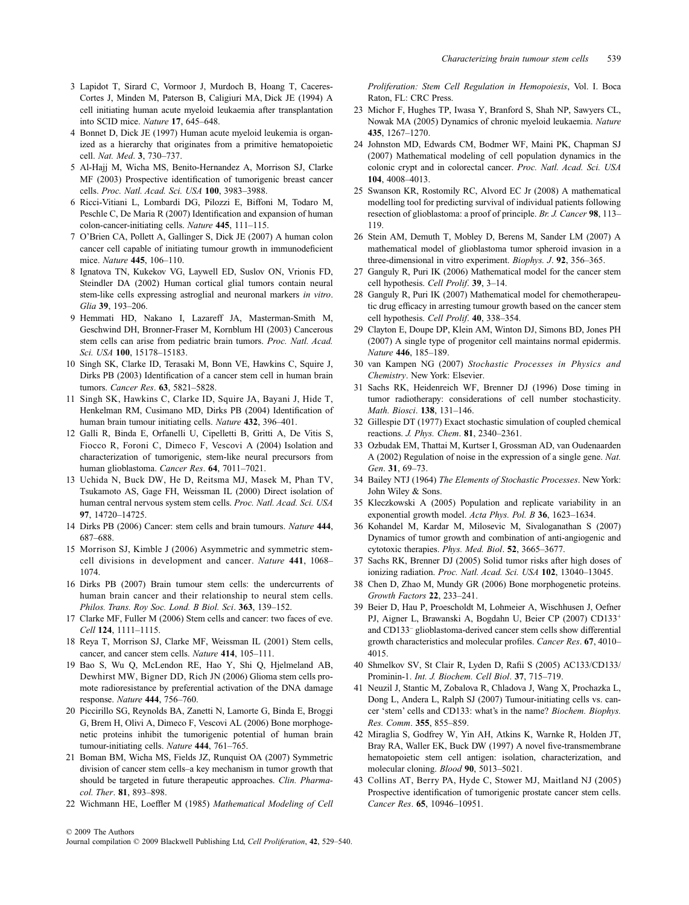- 3 Lapidot T, Sirard C, Vormoor J, Murdoch B, Hoang T, Caceres-Cortes J, Minden M, Paterson B, Caligiuri MA, Dick JE (1994) A cell initiating human acute myeloid leukaemia after transplantation into SCID mice. *Nature* **17**, 645–648.
- 4 Bonnet D, Dick JE (1997) Human acute myeloid leukemia is organized as a hierarchy that originates from a primitive hematopoietic cell. *Nat. Med*. **3**, 730–737.
- 5 Al-Hajj M, Wicha MS, Benito-Hernandez A, Morrison SJ, Clarke MF (2003) Prospective identification of tumorigenic breast cancer cells. *Proc. Natl. Acad. Sci. USA* **100**, 3983–3988.
- 6 Ricci-Vitiani L, Lombardi DG, Pilozzi E, Biffoni M, Todaro M, Peschle C, De Maria R (2007) Identification and expansion of human colon-cancer-initiating cells. *Nature* **445**, 111–115.
- 7 O'Brien CA, Pollett A, Gallinger S, Dick JE (2007) A human colon cancer cell capable of initiating tumour growth in immunodeficient mice. *Nature* **445**, 106–110.
- 8 Ignatova TN, Kukekov VG, Laywell ED, Suslov ON, Vrionis FD, Steindler DA (2002) Human cortical glial tumors contain neural stem-like cells expressing astroglial and neuronal markers *in vitro*. *Glia* **39**, 193–206.
- 9 Hemmati HD, Nakano I, Lazareff JA, Masterman-Smith M, Geschwind DH, Bronner-Fraser M, Kornblum HI (2003) Cancerous stem cells can arise from pediatric brain tumors. *Proc. Natl. Acad. Sci. USA* **100**, 15178–15183.
- 10 Singh SK, Clarke ID, Terasaki M, Bonn VE, Hawkins C, Squire J, Dirks PB (2003) Identification of a cancer stem cell in human brain tumors. *Cancer Res*. **63**, 5821–5828.
- 11 Singh SK, Hawkins C, Clarke ID, Squire JA, Bayani J, Hide T, Henkelman RM, Cusimano MD, Dirks PB (2004) Identification of human brain tumour initiating cells. *Nature* **432**, 396–401.
- 12 Galli R, Binda E, Orfanelli U, Cipelletti B, Gritti A, De Vitis S, Fiocco R, Foroni C, Dimeco F, Vescovi A (2004) Isolation and characterization of tumorigenic, stem-like neural precursors from human glioblastoma. *Cancer Res*. **64**, 7011–7021.
- 13 Uchida N, Buck DW, He D, Reitsma MJ, Masek M, Phan TV, Tsukamoto AS, Gage FH, Weissman IL (2000) Direct isolation of human central nervous system stem cells. *Proc. Natl. Acad. Sci. USA* **97**, 14720–14725.
- 14 Dirks PB (2006) Cancer: stem cells and brain tumours. *Nature* **444**, 687–688.
- 15 Morrison SJ, Kimble J (2006) Asymmetric and symmetric stemcell divisions in development and cancer. *Nature* **441**, 1068– 1074.
- 16 Dirks PB (2007) Brain tumour stem cells: the undercurrents of human brain cancer and their relationship to neural stem cells. *Philos. Trans. Roy Soc. Lond. B Biol. Sci*. **363**, 139–152.
- 17 Clarke MF, Fuller M (2006) Stem cells and cancer: two faces of eve. *Cell* **124**, 1111–1115.
- 18 Reya T, Morrison SJ, Clarke MF, Weissman IL (2001) Stem cells, cancer, and cancer stem cells. *Nature* **414**, 105–111.
- 19 Bao S, Wu Q, McLendon RE, Hao Y, Shi Q, Hjelmeland AB, Dewhirst MW, Bigner DD, Rich JN (2006) Glioma stem cells promote radioresistance by preferential activation of the DNA damage response. *Nature* **444**, 756–760.
- 20 Piccirillo SG, Reynolds BA, Zanetti N, Lamorte G, Binda E, Broggi G, Brem H, Olivi A, Dimeco F, Vescovi AL (2006) Bone morphogenetic proteins inhibit the tumorigenic potential of human brain tumour-initiating cells. *Nature* **444**, 761–765.
- 21 Boman BM, Wicha MS, Fields JZ, Runquist OA (2007) Symmetric division of cancer stem cells–a key mechanism in tumor growth that should be targeted in future therapeutic approaches. *Clin. Pharmacol. Ther*. **81**, 893–898.
- 22 Wichmann HE, Loeffler M (1985) *Mathematical Modeling of Cell*

*Proliferation: Stem Cell Regulation in Hemopoiesis*, Vol. I. Boca Raton, FL: CRC Press.

- 23 Michor F, Hughes TP, Iwasa Y, Branford S, Shah NP, Sawyers CL, Nowak MA (2005) Dynamics of chronic myeloid leukaemia. *Nature* **435**, 1267–1270.
- 24 Johnston MD, Edwards CM, Bodmer WF, Maini PK, Chapman SJ (2007) Mathematical modeling of cell population dynamics in the colonic crypt and in colorectal cancer. *Proc. Natl. Acad. Sci. USA* **104**, 4008–4013.
- 25 Swanson KR, Rostomily RC, Alvord EC Jr (2008) A mathematical modelling tool for predicting survival of individual patients following resection of glioblastoma: a proof of principle. *Br. J. Cancer* **98**, 113– 119.
- 26 Stein AM, Demuth T, Mobley D, Berens M, Sander LM (2007) A mathematical model of glioblastoma tumor spheroid invasion in a three-dimensional in vitro experiment. *Biophys. J*. **92**, 356–365.
- 27 Ganguly R, Puri IK (2006) Mathematical model for the cancer stem cell hypothesis. *Cell Prolif*. **39**, 3–14.
- 28 Ganguly R, Puri IK (2007) Mathematical model for chemotherapeutic drug efficacy in arresting tumour growth based on the cancer stem cell hypothesis. *Cell Prolif*. **40**, 338–354.
- 29 Clayton E, Doupe DP, Klein AM, Winton DJ, Simons BD, Jones PH (2007) A single type of progenitor cell maintains normal epidermis. *Nature* **446**, 185–189.
- 30 van Kampen NG (2007) *Stochastic Processes in Physics and Chemistry*. New York: Elsevier.
- 31 Sachs RK, Heidenreich WF, Brenner DJ (1996) Dose timing in tumor radiotherapy: considerations of cell number stochasticity. *Math. Biosci*. **138**, 131–146.
- 32 Gillespie DT (1977) Exact stochastic simulation of coupled chemical reactions. *J. Phys. Chem*. **81**, 2340–2361.
- 33 Ozbudak EM, Thattai M, Kurtser I, Grossman AD, van Oudenaarden A (2002) Regulation of noise in the expression of a single gene. *Nat. Gen*. **31**, 69–73.
- 34 Bailey NTJ (1964) *The Elements of Stochastic Processes*. New York: John Wiley & Sons.
- 35 Kleczkowski A (2005) Population and replicate variability in an exponential growth model. *Acta Phys. Pol. B* **36**, 1623–1634.
- 36 Kohandel M, Kardar M, Milosevic M, Sivaloganathan S (2007) Dynamics of tumor growth and combination of anti-angiogenic and cytotoxic therapies. *Phys. Med. Biol*. **52**, 3665–3677.
- 37 Sachs RK, Brenner DJ (2005) Solid tumor risks after high doses of ionizing radiation. *Proc. Natl. Acad. Sci. USA* **102**, 13040–13045.
- 38 Chen D, Zhao M, Mundy GR (2006) Bone morphogenetic proteins. *Growth Factors* **22**, 233–241.
- 39 Beier D, Hau P, Proescholdt M, Lohmeier A, Wischhusen J, Oefner PJ, Aigner L, Brawanski A, Bogdahn U, Beier CP (2007) CD133<sup>+</sup> and CD133– glioblastoma-derived cancer stem cells show differential growth characteristics and molecular profiles. *Cancer Res*. **67**, 4010– 4015.
- 40 Shmelkov SV, St Clair R, Lyden D, Rafii S (2005) AC133/CD133/ Prominin-1. *Int. J. Biochem. Cell Biol*. **37**, 715–719.
- 41 Neuzil J, Stantic M, Zobalova R, Chladova J, Wang X, Prochazka L, Dong L, Andera L, Ralph SJ (2007) Tumour-initiating cells vs. cancer 'stem' cells and CD133: what's in the name? *Biochem. Biophys. Res. Comm*. **355**, 855–859.
- 42 Miraglia S, Godfrey W, Yin AH, Atkins K, Warnke R, Holden JT, Bray RA, Waller EK, Buck DW (1997) A novel five-transmembrane hematopoietic stem cell antigen: isolation, characterization, and molecular cloning. *Blood* **90**, 5013–5021.
- 43 Collins AT, Berry PA, Hyde C, Stower MJ, Maitland NJ (2005) Prospective identification of tumorigenic prostate cancer stem cells. *Cancer Res*. **65**, 10946–10951.

© 2009 The Authors

Journal compilation © 2009 Blackwell Publishing Ltd, *Cell Proliferation*, **42**, 529*–*540.